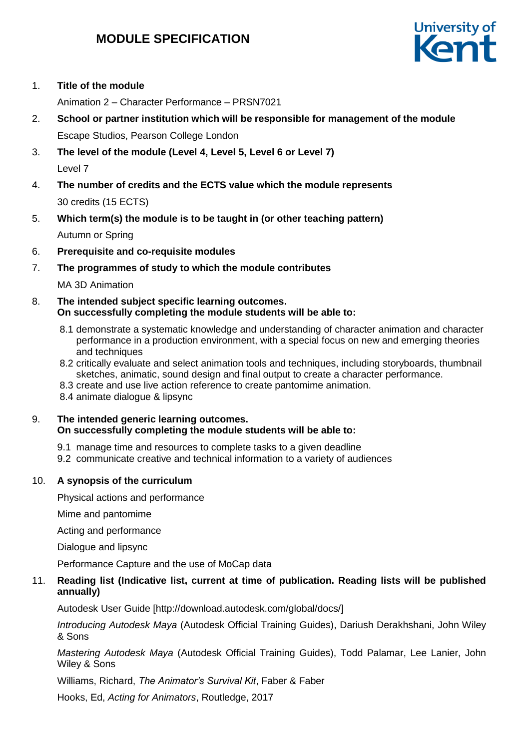# **MODULE SPECIFICATION**



## 1. **Title of the module**

Animation 2 – Character Performance – PRSN7021

- 2. **School or partner institution which will be responsible for management of the module** Escape Studios, Pearson College London
- 3. **The level of the module (Level 4, Level 5, Level 6 or Level 7)** Level 7
- 4. **The number of credits and the ECTS value which the module represents**  30 credits (15 ECTS)
- 5. **Which term(s) the module is to be taught in (or other teaching pattern)** Autumn or Spring
- 6. **Prerequisite and co-requisite modules**
- 7. **The programmes of study to which the module contributes**

MA 3D Animation

- 8. **The intended subject specific learning outcomes. On successfully completing the module students will be able to:**
	- 8.1 demonstrate a systematic knowledge and understanding of character animation and character performance in a production environment, with a special focus on new and emerging theories and techniques
	- 8.2 critically evaluate and select animation tools and techniques, including storyboards, thumbnail sketches, animatic, sound design and final output to create a character performance.
	- 8.3 create and use live action reference to create pantomime animation.
	- 8.4 animate dialogue & lipsync

## 9. **The intended generic learning outcomes. On successfully completing the module students will be able to:**

- 9.1 manage time and resources to complete tasks to a given deadline
- 9.2 communicate creative and technical information to a variety of audiences

## 10. **A synopsis of the curriculum**

Physical actions and performance

Mime and pantomime

Acting and performance

Dialogue and lipsync

Performance Capture and the use of MoCap data

## 11. **Reading list (Indicative list, current at time of publication. Reading lists will be published annually)**

Autodesk User Guide [http://download.autodesk.com/global/docs/]

*Introducing Autodesk Maya* (Autodesk Official Training Guides), Dariush Derakhshani, John Wiley & Sons

*Mastering Autodesk Maya* (Autodesk Official Training Guides), Todd Palamar, Lee Lanier, John Wiley & Sons

Williams, Richard, *The Animator's Survival Kit*, Faber & Faber

Hooks, Ed, *Acting for Animators*, Routledge, 2017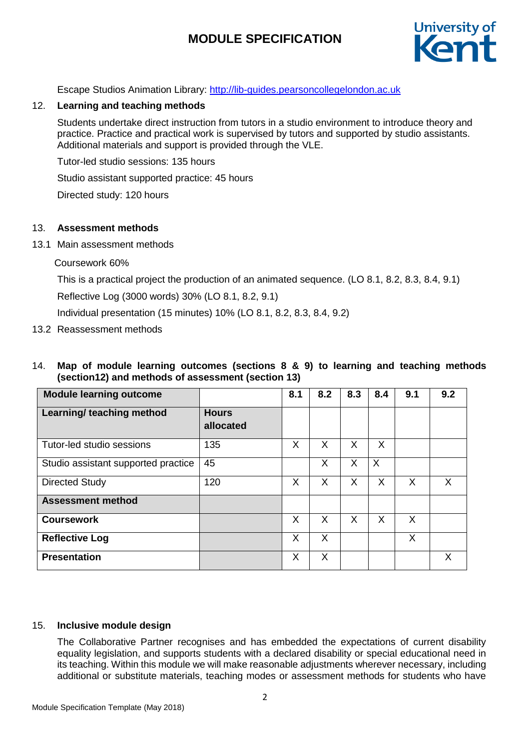# **MODULE SPECIFICATION**



Escape Studios Animation Library: [http://lib-guides.pearsoncollegelondon.ac.uk](https://urldefense.proofpoint.com/v2/url?u=http-3A__lib-2Dguides.pearsoncollegelondon.ac.uk&d=DwMFaQ&c=0YLnzTkWOdJlub_y7qAx8Q&r=SpDSvozb703YwkXZ2yDQYI1lZ4AMWS_xY3tIzXhDKRM&m=Wo7EOP_-8zVCHZXwF_I5sDe9ZB-grFmVDA3TdcQblIY&s=WU9Q4fPopBQT9LD44xKhkKjXmHBxHntpfyVFWcTzTk8&e=)

## 12. **Learning and teaching methods**

Students undertake direct instruction from tutors in a studio environment to introduce theory and practice. Practice and practical work is supervised by tutors and supported by studio assistants. Additional materials and support is provided through the VLE.

Tutor-led studio sessions: 135 hours

Studio assistant supported practice: 45 hours

Directed study: 120 hours

#### 13. **Assessment methods**

13.1 Main assessment methods

Coursework 60%

This is a practical project the production of an animated sequence. (LO 8.1, 8.2, 8.3, 8.4, 9.1)

Reflective Log (3000 words) 30% (LO 8.1, 8.2, 9.1)

Individual presentation (15 minutes) 10% (LO 8.1, 8.2, 8.3, 8.4, 9.2)

13.2 Reassessment methods

## 14. **Map of module learning outcomes (sections 8 & 9) to learning and teaching methods (section12) and methods of assessment (section 13)**

| <b>Module learning outcome</b>      |                           | 8.1 | 8.2 | 8.3 | 8.4      | 9.1 | 9.2 |
|-------------------------------------|---------------------------|-----|-----|-----|----------|-----|-----|
| Learning/ teaching method           | <b>Hours</b><br>allocated |     |     |     |          |     |     |
| Tutor-led studio sessions           | 135                       | X   | X   | X   | X        |     |     |
| Studio assistant supported practice | 45                        |     | X   | X   | $\times$ |     |     |
| <b>Directed Study</b>               | 120                       | X   | X   | X   | X        | X   | X   |
| <b>Assessment method</b>            |                           |     |     |     |          |     |     |
| <b>Coursework</b>                   |                           | X   | X   | X   | X        | X   |     |
| <b>Reflective Log</b>               |                           | X   | X   |     |          | X   |     |
| <b>Presentation</b>                 |                           | X   | X   |     |          |     | X   |

#### 15. **Inclusive module design**

The Collaborative Partner recognises and has embedded the expectations of current disability equality legislation, and supports students with a declared disability or special educational need in its teaching. Within this module we will make reasonable adjustments wherever necessary, including additional or substitute materials, teaching modes or assessment methods for students who have